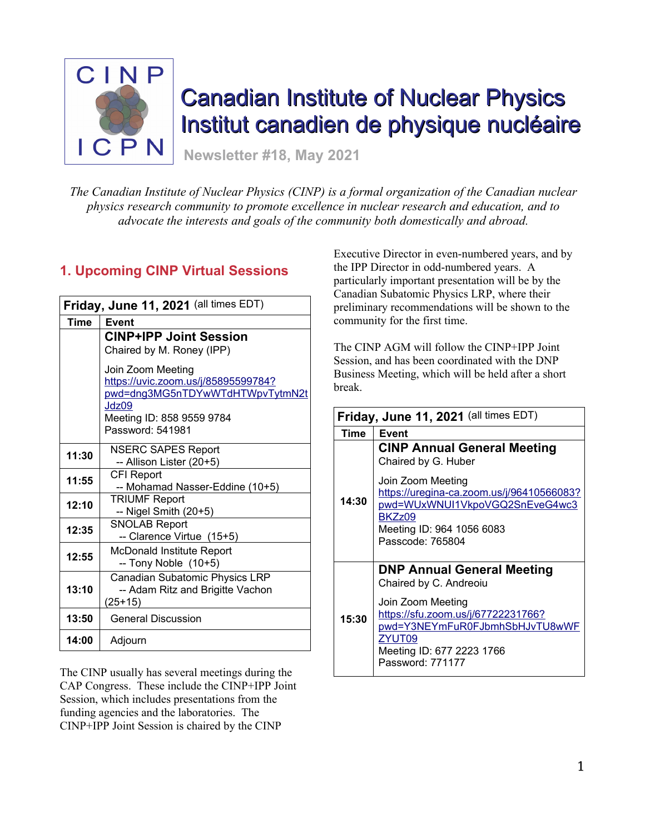

# Canadian Institute of Nuclear Physics Institut canadien de physique nucléaire

**Newsletter #18, May 2021**

*The Canadian Institute of Nuclear Physics (CINP) is a formal organization of the Canadian nuclear physics research community to promote excellence in nuclear research and education, and to advocate the interests and goals of the community both domestically and abroad.*

# **1. Upcoming CINP Virtual Sessions**

| Friday, June 11, 2021 (all times EDT) |                                                |  |  |  |  |  |
|---------------------------------------|------------------------------------------------|--|--|--|--|--|
| Time                                  | Event                                          |  |  |  |  |  |
|                                       | <b>CINP+IPP Joint Session</b>                  |  |  |  |  |  |
|                                       | Chaired by M. Roney (IPP)                      |  |  |  |  |  |
|                                       | Join Zoom Meeting                              |  |  |  |  |  |
|                                       | https://uvic.zoom.us/j/85895599784?            |  |  |  |  |  |
|                                       | pwd=dng3MG5nTDYwWTdHTWpvTytmN2t                |  |  |  |  |  |
|                                       | Jdz09                                          |  |  |  |  |  |
|                                       | Meeting ID: 858 9559 9784<br>Password: 541981  |  |  |  |  |  |
|                                       |                                                |  |  |  |  |  |
| 11:30                                 | <b>NSERC SAPES Report</b>                      |  |  |  |  |  |
|                                       | -- Allison Lister (20+5)                       |  |  |  |  |  |
| 11:55                                 | CFI Report                                     |  |  |  |  |  |
|                                       | -- Mohamad Nasser-Eddine (10+5)                |  |  |  |  |  |
| 12:10                                 | <b>TRIUMF Report</b><br>$-$ Nigel Smith (20+5) |  |  |  |  |  |
|                                       | <b>SNOLAB Report</b>                           |  |  |  |  |  |
| 12:35                                 | -- Clarence Virtue (15+5)                      |  |  |  |  |  |
| 12:55                                 | McDonald Institute Report                      |  |  |  |  |  |
|                                       | $-$ Tony Noble $(10+5)$                        |  |  |  |  |  |
|                                       | Canadian Subatomic Physics LRP                 |  |  |  |  |  |
| 13:10                                 | -- Adam Ritz and Brigitte Vachon               |  |  |  |  |  |
|                                       | $(25+15)$                                      |  |  |  |  |  |
| 13:50                                 | <b>General Discussion</b>                      |  |  |  |  |  |
| 14:00                                 | Adjourn                                        |  |  |  |  |  |

The CINP usually has several meetings during the CAP Congress. These include the CINP+IPP Joint Session, which includes presentations from the funding agencies and the laboratories. The CINP+IPP Joint Session is chaired by the CINP

Executive Director in even-numbered years, and by the IPP Director in odd-numbered years. A particularly important presentation will be by the Canadian Subatomic Physics LRP, where their preliminary recommendations will be shown to the community for the first time.

The CINP AGM will follow the CINP+IPP Joint Session, and has been coordinated with the DNP Business Meeting, which will be held after a short break.

| Friday, June 11, 2021 (all times EDT) |                                                                                                                                                                                                                             |  |  |  |
|---------------------------------------|-----------------------------------------------------------------------------------------------------------------------------------------------------------------------------------------------------------------------------|--|--|--|
| Time                                  | Event                                                                                                                                                                                                                       |  |  |  |
| 14:30                                 | <b>CINP Annual General Meeting</b><br>Chaired by G. Huber<br>Join Zoom Meeting<br>https://uregina-ca.zoom.us/j/96410566083?<br>pwd=WUxWNUI1VkpoVGQ2SnEveG4wc3<br>BKZz09<br>Meeting ID: 964 1056 6083<br>Passcode: 765804    |  |  |  |
| 15:30                                 | <b>DNP Annual General Meeting</b><br>Chaired by C. Andreoiu<br>Join Zoom Meeting<br><u> https://sfu.zoom.us/j/67722231766?</u><br>pwd=Y3NEYmFuR0FJbmhSbHJvTU8wWF<br>ZYUT09<br>Meeting ID: 677 2223 1766<br>Password: 771177 |  |  |  |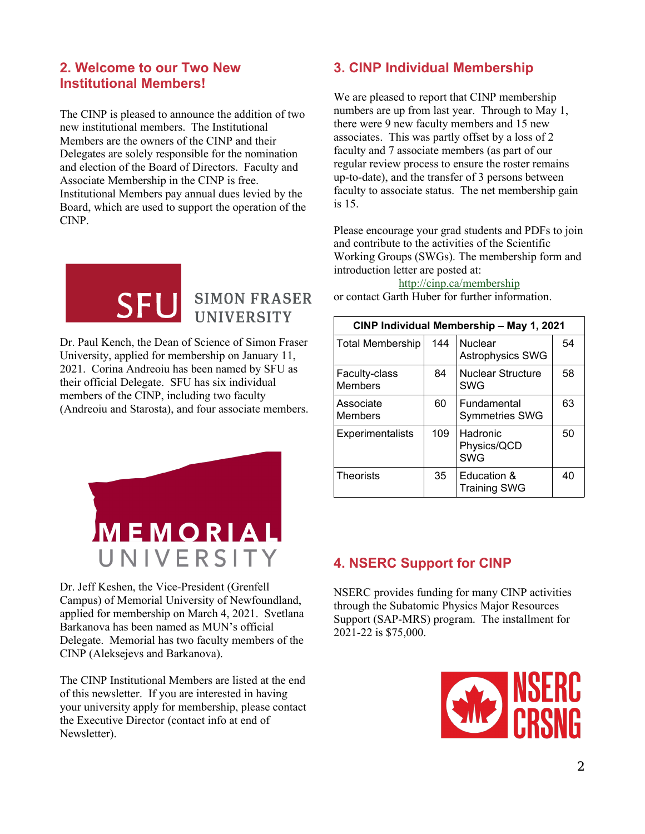## **2. Welcome to our Two New Institutional Members!**

The CINP is pleased to announce the addition of two new institutional members. The Institutional Members are the owners of the CINP and their Delegates are solely responsible for the nomination and election of the Board of Directors. Faculty and Associate Membership in the CINP is free. Institutional Members pay annual dues levied by the Board, which are used to support the operation of the CINP.



# **SIMON FRASER UNIVERSITY**

Dr. Paul Kench, the Dean of Science of Simon Fraser University, applied for membership on January 11, 2021. Corina Andreoiu has been named by SFU as their official Delegate. SFU has six individual members of the CINP, including two faculty (Andreoiu and Starosta), and four associate members.



Dr. Jeff Keshen, the Vice-President (Grenfell Campus) of Memorial University of Newfoundland, applied for membership on March 4, 2021. Svetlana Barkanova has been named as MUN's official Delegate. Memorial has two faculty members of the CINP (Aleksejevs and Barkanova).

The CINP Institutional Members are listed at the end of this newsletter. If you are interested in having your university apply for membership, please contact the Executive Director (contact info at end of Newsletter).

# **3. CINP Individual Membership**

We are pleased to report that CINP membership numbers are up from last year. Through to May 1, there were 9 new faculty members and 15 new associates. This was partly offset by a loss of 2 faculty and 7 associate members (as part of our regular review process to ensure the roster remains up-to-date), and the transfer of 3 persons between faculty to associate status. The net membership gain is 15.

Please encourage your grad students and PDFs to join and contribute to the activities of the Scientific Working Groups (SWGs). The membership form and introduction letter are posted at:

#### http://cinp.ca/membership

or contact Garth Huber for further information.

| CINP Individual Membership - May 1, 2021 |     |                                       |    |  |  |  |
|------------------------------------------|-----|---------------------------------------|----|--|--|--|
| <b>Total Membership</b>                  | 144 | <b>Nuclear</b><br>Astrophysics SWG    | 54 |  |  |  |
| <b>Faculty-class</b><br><b>Members</b>   | 84  | <b>Nuclear Structure</b><br>SWG       | 58 |  |  |  |
| Associate<br><b>Members</b>              | 60  | Fundamental<br><b>Symmetries SWG</b>  | 63 |  |  |  |
| Experimentalists                         | 109 | Hadronic<br>Physics/QCD<br><b>SWG</b> | 50 |  |  |  |
| <b>Theorists</b>                         | 35  | Education &<br><b>Training SWG</b>    | 40 |  |  |  |

# **4. NSERC Support for CINP**

NSERC provides funding for many CINP activities through the Subatomic Physics Major Resources Support (SAP-MRS) program. The installment for 2021-22 is \$75,000.

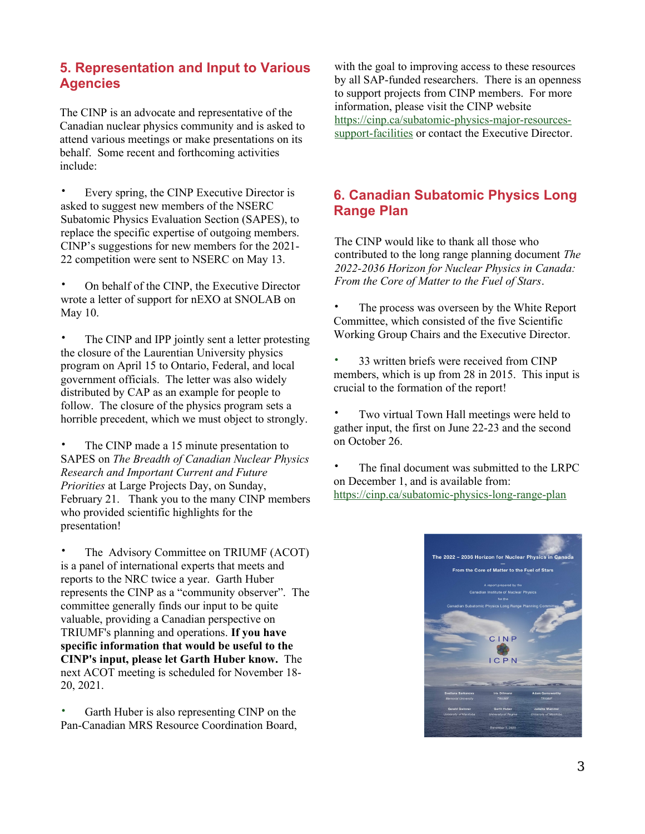## **5. Representation and Input to Various Agencies**

The CINP is an advocate and representative of the Canadian nuclear physics community and is asked to attend various meetings or make presentations on its behalf. Some recent and forthcoming activities include:

• Every spring, the CINP Executive Director is asked to suggest new members of the NSERC Subatomic Physics Evaluation Section (SAPES), to replace the specific expertise of outgoing members. CINP's suggestions for new members for the 2021- 22 competition were sent to NSERC on May 13.

• On behalf of the CINP, the Executive Director wrote a letter of support for nEXO at SNOLAB on May 10.

The CINP and IPP jointly sent a letter protesting the closure of the Laurentian University physics program on April 15 to Ontario, Federal, and local government officials. The letter was also widely distributed by CAP as an example for people to follow. The closure of the physics program sets a horrible precedent, which we must object to strongly.

The CINP made a 15 minute presentation to SAPES on *The Breadth of Canadian Nuclear Physics Research and Important Current and Future Priorities* at Large Projects Day, on Sunday, February 21. Thank you to the many CINP members who provided scientific highlights for the presentation!

The Advisory Committee on TRIUMF (ACOT) is a panel of international experts that meets and reports to the NRC twice a year. Garth Huber represents the CINP as a "community observer". The committee generally finds our input to be quite valuable, providing a Canadian perspective on TRIUMF's planning and operations. **If you have specific information that would be useful to the CINP's input, please let Garth Huber know.** The next ACOT meeting is scheduled for November 18- 20, 2021.

Garth Huber is also representing CINP on the Pan-Canadian MRS Resource Coordination Board,

with the goal to improving access to these resources by all SAP-funded researchers. There is an openness to support projects from CINP members. For more information, please visit the CINP website [https://cinp.ca/subatomic-physics-major-resources](https://cinp.ca/subatomic-physics-major-resources-support-facilities)[support-facilities](https://cinp.ca/subatomic-physics-major-resources-support-facilities) or contact the Executive Director.

# **6. Canadian Subatomic Physics Long Range Plan**

The CINP would like to thank all those who contributed to the long range planning document *The 2022-2036 Horizon for Nuclear Physics in Canada: From the Core of Matter to the Fuel of Stars*.

- The process was overseen by the White Report Committee, which consisted of the five Scientific Working Group Chairs and the Executive Director.
- 33 written briefs were received from CINP members, which is up from 28 in 2015. This input is crucial to the formation of the report!
- Two virtual Town Hall meetings were held to gather input, the first on June 22-23 and the second on October 26.

• The final document was submitted to the LRPC on December 1, and is available from: <https://cinp.ca/subatomic-physics-long-range-plan>

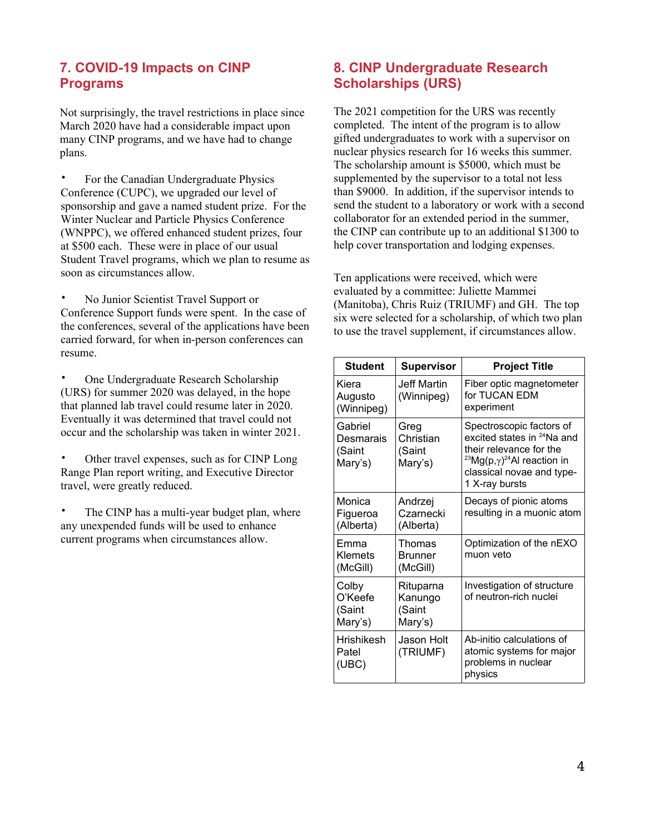# **7. COVID-19 Impacts on CINP Programs**

Not surprisingly, the travel restrictions in place since March 2020 have had a considerable impact upon many CINP programs, and we have had to change plans.

• For the Canadian Undergraduate Physics Conference (CUPC), we upgraded our level of sponsorship and gave a named student prize. For the Winter Nuclear and Particle Physics Conference (WNPPC), we offered enhanced student prizes, four at \$500 each. These were in place of our usual Student Travel programs, which we plan to resume as soon as circumstances allow.

• No Junior Scientist Travel Support or Conference Support funds were spent. In the case of the conferences, several of the applications have been carried forward, for when in-person conferences can resume.

• One Undergraduate Research Scholarship (URS) for summer 2020 was delayed, in the hope that planned lab travel could resume later in 2020. Eventually it was determined that travel could not occur and the scholarship was taken in winter 2021.

• Other travel expenses, such as for CINP Long Range Plan report writing, and Executive Director travel, were greatly reduced.

• The CINP has a multi-year budget plan, where any unexpended funds will be used to enhance current programs when circumstances allow.

# **8. CINP Undergraduate Research Scholarships (URS)**

The 2021 competition for the URS was recently completed. The intent of the program is to allow gifted undergraduates to work with a supervisor on nuclear physics research for 16 weeks this summer. The scholarship amount is \$5000, which must be supplemented by the supervisor to a total not less than \$9000. In addition, if the supervisor intends to send the student to a laboratory or work with a second collaborator for an extended period in the summer, the CINP can contribute up to an additional \$1300 to help cover transportation and lodging expenses.

Ten applications were received, which were evaluated by a committee: Juliette Mammei (Manitoba), Chris Ruiz (TRIUMF) and GH. The top six were selected for a scholarship, of which two plan to use the travel supplement, if circumstances allow.

| <b>Student</b>                            | <b>Supervisor</b>                         | <b>Project Title</b>                                                                                                                                                                                        |  |
|-------------------------------------------|-------------------------------------------|-------------------------------------------------------------------------------------------------------------------------------------------------------------------------------------------------------------|--|
| Kiera<br>Augusto<br>(Winnipeg)            | Jeff Martin<br>(Winnipeg)                 | Fiber optic magnetometer<br>for TUCAN FDM<br>experiment                                                                                                                                                     |  |
| Gabriel<br>Desmarais<br>(Saint<br>Mary's) | Greg<br>Christian<br>(Saint<br>Mary's)    | Spectroscopic factors of<br>excited states in <sup>24</sup> Na and<br>their relevance for the<br><sup>23</sup> Mg(p, $\gamma$ ) <sup>24</sup> Al reaction in<br>classical novae and type-<br>1 X-ray bursts |  |
| Monica<br>Figueroa<br>(Alberta)           | Andrzej<br>Czarnecki<br>(Alberta)         | Decays of pionic atoms<br>resulting in a muonic atom                                                                                                                                                        |  |
| Emma<br>Klemets<br>(McGill)               | Thomas<br><b>Brunner</b><br>(McGill)      | Optimization of the nEXO<br>muon veto                                                                                                                                                                       |  |
| Colby<br>O'Keefe<br>(Saint<br>Mary's)     | Rituparna<br>Kanungo<br>(Saint<br>Mary's) | Investigation of structure<br>of neutron-rich nuclei                                                                                                                                                        |  |
| <b>Hrishikesh</b><br>Patel<br>(UBC)       | Jason Holt<br>(TRIUMF)                    | Ab-initio calculations of<br>atomic systems for major<br>problems in nuclear<br>physics                                                                                                                     |  |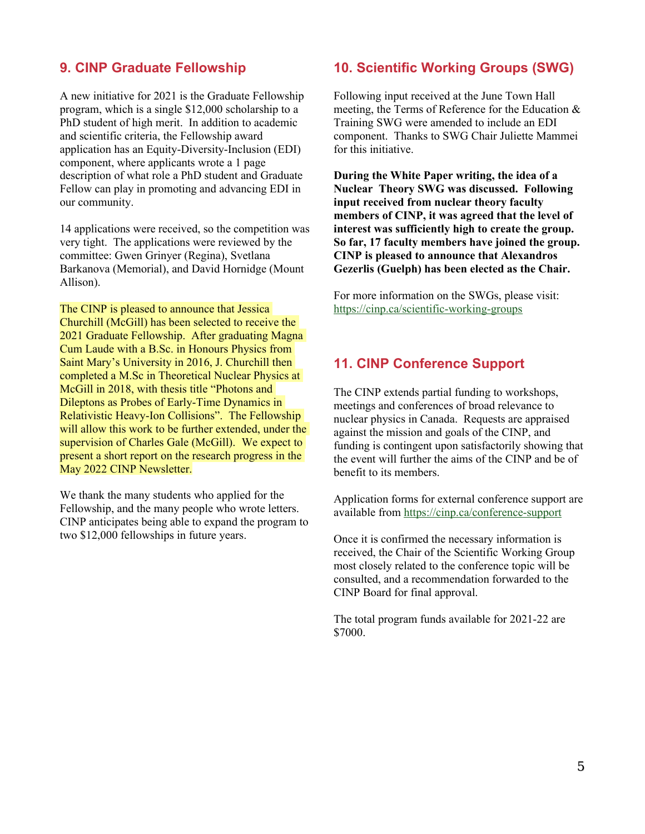#### **9. CINP Graduate Fellowship**

A new initiative for 2021 is the Graduate Fellowship program, which is a single \$12,000 scholarship to a PhD student of high merit. In addition to academic and scientific criteria, the Fellowship award application has an Equity-Diversity-Inclusion (EDI) component, where applicants wrote a 1 page description of what role a PhD student and Graduate Fellow can play in promoting and advancing EDI in our community.

14 applications were received, so the competition was very tight. The applications were reviewed by the committee: Gwen Grinyer (Regina), Svetlana Barkanova (Memorial), and David Hornidge (Mount Allison).

The CINP is pleased to announce that Jessica Churchill (McGill) has been selected to receive the 2021 Graduate Fellowship. After graduating Magna Cum Laude with a B.Sc. in Honours Physics from Saint Mary's University in 2016, J. Churchill then completed a M.Sc in Theoretical Nuclear Physics at McGill in 2018, with thesis title "Photons and Dileptons as Probes of Early-Time Dynamics in Relativistic Heavy-Ion Collisions". The Fellowship will allow this work to be further extended, under the supervision of Charles Gale (McGill). We expect to present a short report on the research progress in the May 2022 CINP Newsletter.

We thank the many students who applied for the Fellowship, and the many people who wrote letters. CINP anticipates being able to expand the program to two \$12,000 fellowships in future years.

## **10. Scientific Working Groups (SWG)**

Following input received at the June Town Hall meeting, the Terms of Reference for the Education & Training SWG were amended to include an EDI component. Thanks to SWG Chair Juliette Mammei for this initiative.

**During the White Paper writing, the idea of a Nuclear Theory SWG was discussed. Following input received from nuclear theory faculty members of CINP, it was agreed that the level of interest was sufficiently high to create the group. So far, 17 faculty members have joined the group. CINP is pleased to announce that Alexandros Gezerlis (Guelph) has been elected as the Chair.**

For more information on the SWGs, please visit: <https://cinp.ca/scientific-working-groups>

#### **11. CINP Conference Support**

The CINP extends partial funding to workshops, meetings and conferences of broad relevance to nuclear physics in Canada. Requests are appraised against the mission and goals of the CINP, and funding is contingent upon satisfactorily showing that the event will further the aims of the CINP and be of benefit to its members.

Application forms for external conference support are available from <https://cinp.ca/conference-support>

Once it is confirmed the necessary information is received, the Chair of the Scientific Working Group most closely related to the conference topic will be consulted, and a recommendation forwarded to the CINP Board for final approval.

The total program funds available for 2021-22 are \$7000.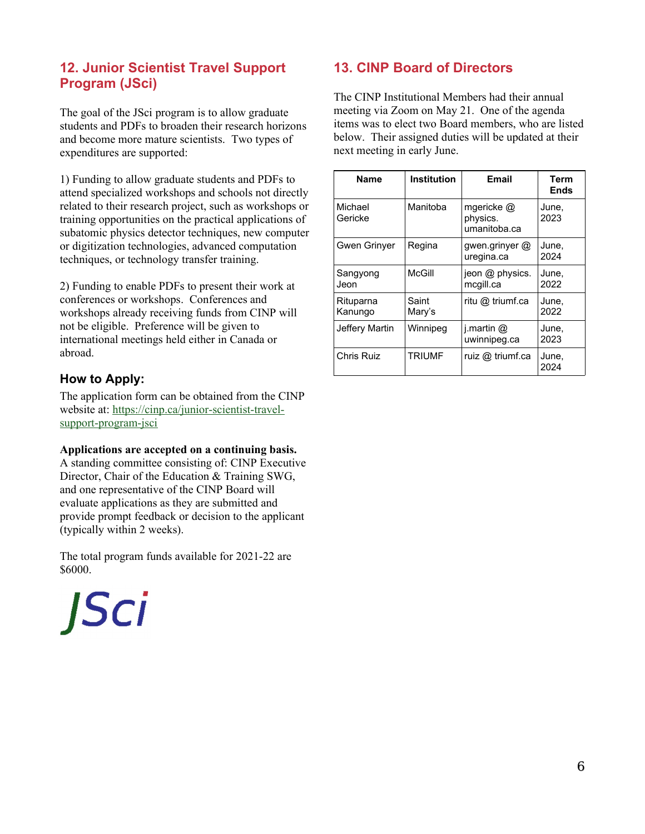# **12. Junior Scientist Travel Support Program (JSci)**

The goal of the JSci program is to allow graduate students and PDFs to broaden their research horizons and become more mature scientists. Two types of expenditures are supported:

1) Funding to allow graduate students and PDFs to attend specialized workshops and schools not directly related to their research project, such as workshops or training opportunities on the practical applications of subatomic physics detector techniques, new computer or digitization technologies, advanced computation techniques, or technology transfer training.

2) Funding to enable PDFs to present their work at conferences or workshops. Conferences and workshops already receiving funds from CINP will not be eligible. Preference will be given to international meetings held either in Canada or abroad.

#### **How to Apply:**

The application form can be obtained from the CINP website at: [https://cinp.ca/junior-scientist-travel](https://cinp.ca/junior-scientist-travel-support-program-jsci)[support-program-jsci](https://cinp.ca/junior-scientist-travel-support-program-jsci)

#### **Applications are accepted on a continuing basis.**

A standing committee consisting of: CINP Executive Director, Chair of the Education & Training SWG, and one representative of the CINP Board will evaluate applications as they are submitted and provide prompt feedback or decision to the applicant (typically within 2 weeks).

The total program funds available for 2021-22 are \$6000.

**JSci** 

# **13. CINP Board of Directors**

The CINP Institutional Members had their annual meeting via Zoom on May 21. One of the agenda items was to elect two Board members, who are listed below. Their assigned duties will be updated at their next meeting in early June.

| <b>Name</b>          | <b>Institution</b> | Email                                  | Term<br><b>Ends</b> |
|----------------------|--------------------|----------------------------------------|---------------------|
| Michael<br>Gericke   | Manitoba           | mgericke @<br>physics.<br>umanitoba.ca | June,<br>2023       |
| <b>Gwen Grinver</b>  | Regina             | gwen.grinyer $@$<br>uregina.ca         | June.<br>2024       |
| Sangyong<br>Jeon     | McGill             | jeon @ physics.<br>mcgill.ca           | June.<br>2022       |
| Rituparna<br>Kanungo | Saint<br>Mary's    | ritu @ triumf.ca                       | June.<br>2022       |
| Jeffery Martin       | Winnipeg           | i.martin $@$<br>uwinnipeg.ca           | June,<br>2023       |
| Chris Ruiz           | TRIUMF             | ruiz @ triumf.ca                       | June,<br>2024       |